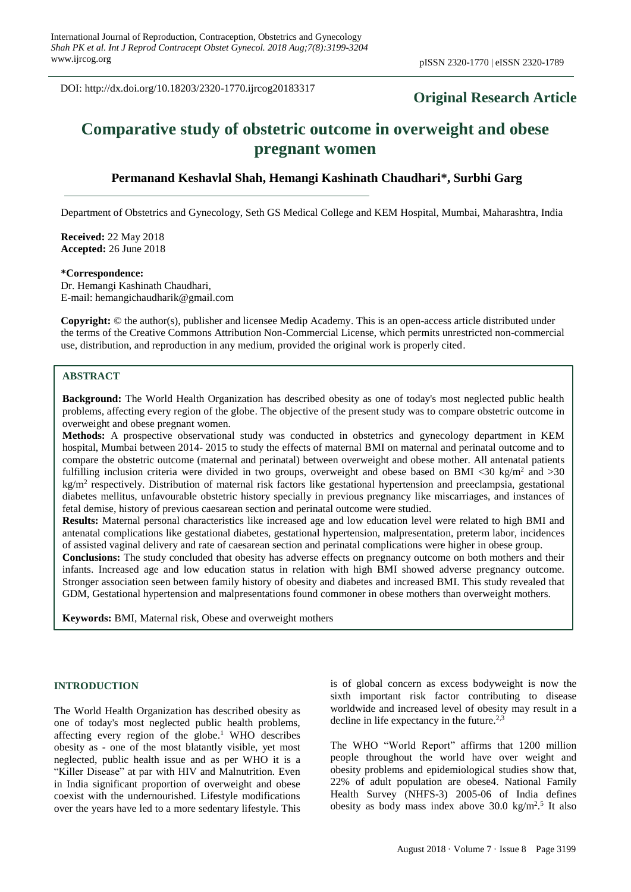DOI: http://dx.doi.org/10.18203/2320-1770.ijrcog20183317

# **Original Research Article**

# **Comparative study of obstetric outcome in overweight and obese pregnant women**

# **Permanand Keshavlal Shah, Hemangi Kashinath Chaudhari\*, Surbhi Garg**

Department of Obstetrics and Gynecology, Seth GS Medical College and KEM Hospital, Mumbai, Maharashtra, India

**Received:** 22 May 2018 **Accepted:** 26 June 2018

#### **\*Correspondence:**

Dr. Hemangi Kashinath Chaudhari, E-mail: hemangichaudharik@gmail.com

**Copyright:** © the author(s), publisher and licensee Medip Academy. This is an open-access article distributed under the terms of the Creative Commons Attribution Non-Commercial License, which permits unrestricted non-commercial use, distribution, and reproduction in any medium, provided the original work is properly cited.

# **ABSTRACT**

**Background:** The World Health Organization has described obesity as one of today's most neglected public health problems, affecting every region of the globe. The objective of the present study was to compare obstetric outcome in overweight and obese pregnant women.

**Methods:** A prospective observational study was conducted in obstetrics and gynecology department in KEM hospital, Mumbai between 2014- 2015 to study the effects of maternal BMI on maternal and perinatal outcome and to compare the obstetric outcome (maternal and perinatal) between overweight and obese mother. All antenatal patients fulfilling inclusion criteria were divided in two groups, overweight and obese based on BMI <30 kg/m<sup>2</sup> and >30 kg/m<sup>2</sup> respectively. Distribution of maternal risk factors like gestational hypertension and preeclampsia, gestational diabetes mellitus, unfavourable obstetric history specially in previous pregnancy like miscarriages, and instances of fetal demise, history of previous caesarean section and perinatal outcome were studied.

**Results:** Maternal personal characteristics like increased age and low education level were related to high BMI and antenatal complications like gestational diabetes, gestational hypertension, malpresentation, preterm labor, incidences of assisted vaginal delivery and rate of caesarean section and perinatal complications were higher in obese group.

**Conclusions:** The study concluded that obesity has adverse effects on pregnancy outcome on both mothers and their infants. Increased age and low education status in relation with high BMI showed adverse pregnancy outcome. Stronger association seen between family history of obesity and diabetes and increased BMI. This study revealed that GDM, Gestational hypertension and malpresentations found commoner in obese mothers than overweight mothers.

**Keywords:** BMI, Maternal risk, Obese and overweight mothers

### **INTRODUCTION**

The World Health Organization has described obesity as one of today's most neglected public health problems, affecting every region of the globe.<sup>1</sup> WHO describes obesity as - one of the most blatantly visible, yet most neglected, public health issue and as per WHO it is a "Killer Disease" at par with HIV and Malnutrition. Even in India significant proportion of overweight and obese coexist with the undernourished. Lifestyle modifications over the years have led to a more sedentary lifestyle. This is of global concern as excess bodyweight is now the sixth important risk factor contributing to disease worldwide and increased level of obesity may result in a decline in life expectancy in the future.<sup>2,3</sup>

The WHO "World Report" affirms that 1200 million people throughout the world have over weight and obesity problems and epidemiological studies show that, 22% of adult population are obese4. National Family Health Survey (NHFS-3) 2005-06 of India defines obesity as body mass index above  $30.0 \text{ kg/m}^2$ .<sup>5</sup> It also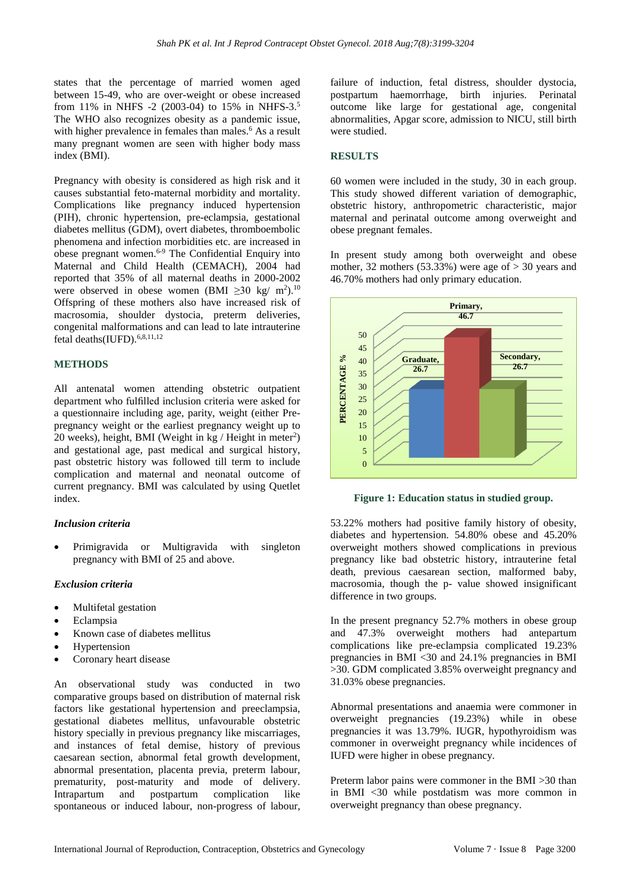states that the percentage of married women aged between 15-49, who are over-weight or obese increased from 11% in NHFS -2 (2003-04) to 15% in NHFS-3.<sup>5</sup> The WHO also recognizes obesity as a pandemic issue, with higher prevalence in females than males.<sup>6</sup> As a result many pregnant women are seen with higher body mass index (BMI).

Pregnancy with obesity is considered as high risk and it causes substantial feto-maternal morbidity and mortality. Complications like pregnancy induced hypertension (PIH), chronic hypertension, pre-eclampsia, gestational diabetes mellitus (GDM), overt diabetes, thromboembolic phenomena and infection morbidities etc. are increased in obese pregnant women.6-9 The Confidential Enquiry into Maternal and Child Health (CEMACH), 2004 had reported that 35% of all maternal deaths in 2000-2002 were observed in obese women (BMI  $\geq 30$  kg/ m<sup>2</sup>).<sup>10</sup> Offspring of these mothers also have increased risk of macrosomia, shoulder dystocia, preterm deliveries, congenital malformations and can lead to late intrauterine fetal deaths(IUFD).<sup>6,8,11,12</sup>

#### **METHODS**

All antenatal women attending obstetric outpatient department who fulfilled inclusion criteria were asked for a questionnaire including age, parity, weight (either Prepregnancy weight or the earliest pregnancy weight up to 20 weeks), height, BMI (Weight in kg / Height in meter<sup>2</sup>) and gestational age, past medical and surgical history, past obstetric history was followed till term to include complication and maternal and neonatal outcome of current pregnancy. BMI was calculated by using Quetlet index.

#### *Inclusion criteria*

• Primigravida or Multigravida with singleton pregnancy with BMI of 25 and above.

#### *Exclusion criteria*

- Multifetal gestation
- Eclampsia
- Known case of diabetes mellitus
- **Hypertension**
- Coronary heart disease

An observational study was conducted in two comparative groups based on distribution of maternal risk factors like gestational hypertension and preeclampsia, gestational diabetes mellitus, unfavourable obstetric history specially in previous pregnancy like miscarriages, and instances of fetal demise, history of previous caesarean section, abnormal fetal growth development, abnormal presentation, placenta previa, preterm labour, prematurity, post-maturity and mode of delivery. Intrapartum and postpartum complication like spontaneous or induced labour, non-progress of labour, failure of induction, fetal distress, shoulder dystocia, postpartum haemorrhage, birth injuries. Perinatal outcome like large for gestational age, congenital abnormalities, Apgar score, admission to NICU, still birth were studied.

#### **RESULTS**

60 women were included in the study, 30 in each group. This study showed different variation of demographic, obstetric history, anthropometric characteristic, major maternal and perinatal outcome among overweight and obese pregnant females.

In present study among both overweight and obese mother, 32 mothers (53.33%) were age of  $> 30$  years and 46.70% mothers had only primary education.



**Figure 1: Education status in studied group.**

53.22% mothers had positive family history of obesity, diabetes and hypertension. 54.80% obese and 45.20% overweight mothers showed complications in previous pregnancy like bad obstetric history, intrauterine fetal death, previous caesarean section, malformed baby, macrosomia, though the p- value showed insignificant difference in two groups.

In the present pregnancy 52.7% mothers in obese group and 47.3% overweight mothers had antepartum complications like pre-eclampsia complicated 19.23% pregnancies in BMI <30 and 24.1% pregnancies in BMI >30. GDM complicated 3.85% overweight pregnancy and 31.03% obese pregnancies.

Abnormal presentations and anaemia were commoner in overweight pregnancies (19.23%) while in obese pregnancies it was 13.79%. IUGR, hypothyroidism was commoner in overweight pregnancy while incidences of IUFD were higher in obese pregnancy.

Preterm labor pains were commoner in the BMI >30 than in BMI <30 while postdatism was more common in overweight pregnancy than obese pregnancy.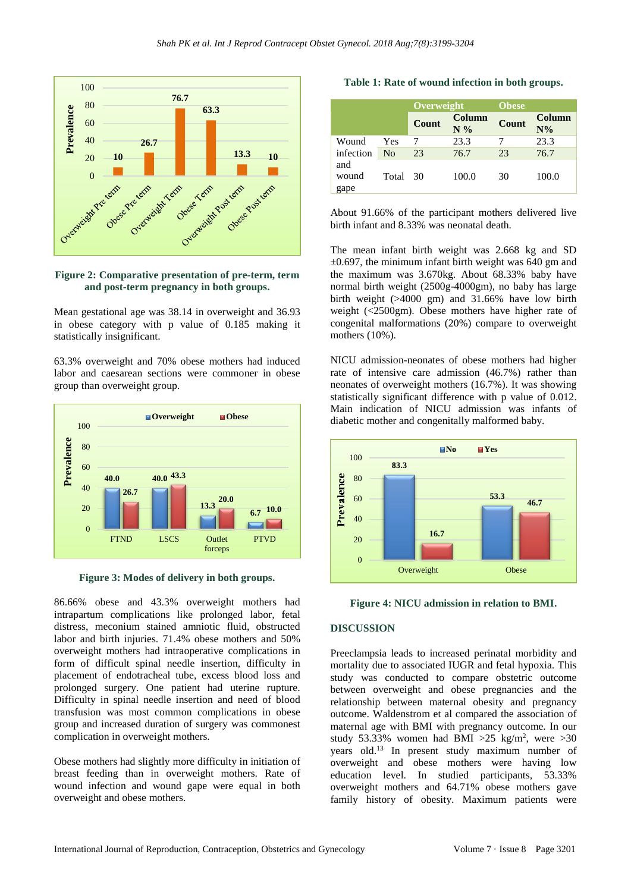

**Figure 2: Comparative presentation of pre-term, term and post-term pregnancy in both groups.**

Mean gestational age was 38.14 in overweight and 36.93 in obese category with p value of 0.185 making it statistically insignificant.

63.3% overweight and 70% obese mothers had induced labor and caesarean sections were commoner in obese group than overweight group.



**Figure 3: Modes of delivery in both groups.**

86.66% obese and 43.3% overweight mothers had intrapartum complications like prolonged labor, fetal distress, meconium stained amniotic fluid, obstructed labor and birth injuries. 71.4% obese mothers and 50% overweight mothers had intraoperative complications in form of difficult spinal needle insertion, difficulty in placement of endotracheal tube, excess blood loss and prolonged surgery. One patient had uterine rupture. Difficulty in spinal needle insertion and need of blood transfusion was most common complications in obese group and increased duration of surgery was commonest complication in overweight mothers.

Obese mothers had slightly more difficulty in initiation of breast feeding than in overweight mothers. Rate of wound infection and wound gape were equal in both overweight and obese mothers.

| Table 1: Rate of wound infection in both groups. |  |  |  |  |  |
|--------------------------------------------------|--|--|--|--|--|
|--------------------------------------------------|--|--|--|--|--|

|                      |                | Overweight   |                 | <b>Obese</b> |                 |
|----------------------|----------------|--------------|-----------------|--------------|-----------------|
|                      |                | <b>Count</b> | Column<br>$N\%$ | <b>Count</b> | Column<br>$N\%$ |
| Wound                | Yes            | 23.3         |                 | 23.3         |                 |
| infection            | N <sub>0</sub> | 23           | 76.7            | 23           | 76.7            |
| and<br>wound<br>gape | Total          | 30           | 100.0           | 30           | 100.0           |

About 91.66% of the participant mothers delivered live birth infant and 8.33% was neonatal death.

The mean infant birth weight was 2.668 kg and SD  $\pm 0.697$ , the minimum infant birth weight was 640 gm and the maximum was 3.670kg. About 68.33% baby have normal birth weight (2500g-4000gm), no baby has large birth weight (>4000 gm) and 31.66% have low birth weight (<2500gm). Obese mothers have higher rate of congenital malformations (20%) compare to overweight mothers (10%).

NICU admission-neonates of obese mothers had higher rate of intensive care admission (46.7%) rather than neonates of overweight mothers (16.7%). It was showing statistically significant difference with p value of 0.012. Main indication of NICU admission was infants of diabetic mother and congenitally malformed baby.





#### **DISCUSSION**

Preeclampsia leads to increased perinatal morbidity and mortality due to associated IUGR and fetal hypoxia. This study was conducted to compare obstetric outcome between overweight and obese pregnancies and the relationship between maternal obesity and pregnancy outcome. Waldenstrom et al compared the association of maternal age with BMI with pregnancy outcome. In our study 53.33% women had BMI  $>25$  kg/m<sup>2</sup>, were  $>30$ years old.<sup>13</sup> In present study maximum number of overweight and obese mothers were having low education level. In studied participants, 53.33% overweight mothers and 64.71% obese mothers gave family history of obesity. Maximum patients were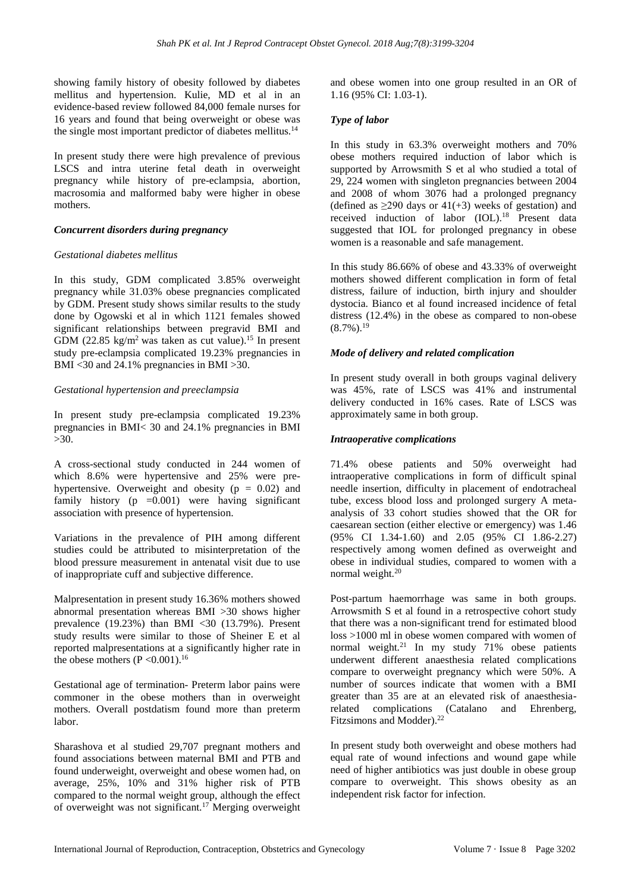showing family history of obesity followed by diabetes mellitus and hypertension. Kulie, MD et al in an evidence-based review followed 84,000 female nurses for 16 years and found that being overweight or obese was the single most important predictor of diabetes mellitus.<sup>14</sup>

In present study there were high prevalence of previous LSCS and intra uterine fetal death in overweight pregnancy while history of pre-eclampsia, abortion, macrosomia and malformed baby were higher in obese mothers.

### *Concurrent disorders during pregnancy*

#### *Gestational diabetes mellitus*

In this study, GDM complicated 3.85% overweight pregnancy while 31.03% obese pregnancies complicated by GDM. Present study shows similar results to the study done by Ogowski et al in which 1121 females showed significant relationships between pregravid BMI and GDM (22.85 kg/m<sup>2</sup> was taken as cut value).<sup>15</sup> In present study pre-eclampsia complicated 19.23% pregnancies in BMI <30 and 24.1% pregnancies in BMI >30.

### *Gestational hypertension and preeclampsia*

In present study pre-eclampsia complicated 19.23% pregnancies in BMI< 30 and 24.1% pregnancies in BMI >30.

A cross-sectional study conducted in 244 women of which 8.6% were hypertensive and 25% were prehypertensive. Overweight and obesity  $(p = 0.02)$  and family history  $(p = 0.001)$  were having significant association with presence of hypertension.

Variations in the prevalence of PIH among different studies could be attributed to misinterpretation of the blood pressure measurement in antenatal visit due to use of inappropriate cuff and subjective difference.

Malpresentation in present study 16.36% mothers showed abnormal presentation whereas BMI >30 shows higher prevalence (19.23%) than BMI <30 (13.79%). Present study results were similar to those of Sheiner E et al reported malpresentations at a significantly higher rate in the obese mothers  $(P \le 0.001)$ .<sup>16</sup>

Gestational age of termination- Preterm labor pains were commoner in the obese mothers than in overweight mothers. Overall postdatism found more than preterm labor.

Sharashova et al studied 29,707 pregnant mothers and found associations between maternal BMI and PTB and found underweight, overweight and obese women had, on average, 25%, 10% and 31% higher risk of PTB compared to the normal weight group, although the effect of overweight was not significant.<sup>17</sup> Merging overweight and obese women into one group resulted in an OR of 1.16 (95% CI: 1.03-1).

#### *Type of labor*

In this study in 63.3% overweight mothers and 70% obese mothers required induction of labor which is supported by Arrowsmith S et al who studied a total of 29, 224 women with singleton pregnancies between 2004 and 2008 of whom 3076 had a prolonged pregnancy (defined as  $\geq$ 290 days or 41(+3) weeks of gestation) and received induction of labor (IOL).<sup>18</sup> Present data suggested that IOL for prolonged pregnancy in obese women is a reasonable and safe management.

In this study 86.66% of obese and 43.33% of overweight mothers showed different complication in form of fetal distress, failure of induction, birth injury and shoulder dystocia. Bianco et al found increased incidence of fetal distress (12.4%) in the obese as compared to non-obese  $(8.7\%)$ <sup>19</sup>

## *Mode of delivery and related complication*

In present study overall in both groups vaginal delivery was 45%, rate of LSCS was 41% and instrumental delivery conducted in 16% cases. Rate of LSCS was approximately same in both group.

#### *Intraoperative complications*

71.4% obese patients and 50% overweight had intraoperative complications in form of difficult spinal needle insertion, difficulty in placement of endotracheal tube, excess blood loss and prolonged surgery A metaanalysis of 33 cohort studies showed that the OR for caesarean section (either elective or emergency) was 1.46 (95% CI 1.34-1.60) and 2.05 (95% CI 1.86-2.27) respectively among women defined as overweight and obese in individual studies, compared to women with a normal weight.<sup>20</sup>

Post-partum haemorrhage was same in both groups. Arrowsmith S et al found in a retrospective cohort study that there was a non-significant trend for estimated blood loss >1000 ml in obese women compared with women of normal weight.<sup>21</sup> In my study  $71\%$  obese patients underwent different anaesthesia related complications compare to overweight pregnancy which were 50%. A number of sources indicate that women with a BMI greater than 35 are at an elevated risk of anaesthesiarelated complications (Catalano and Ehrenberg, Fitzsimons and Modder). 22

In present study both overweight and obese mothers had equal rate of wound infections and wound gape while need of higher antibiotics was just double in obese group compare to overweight. This shows obesity as an independent risk factor for infection.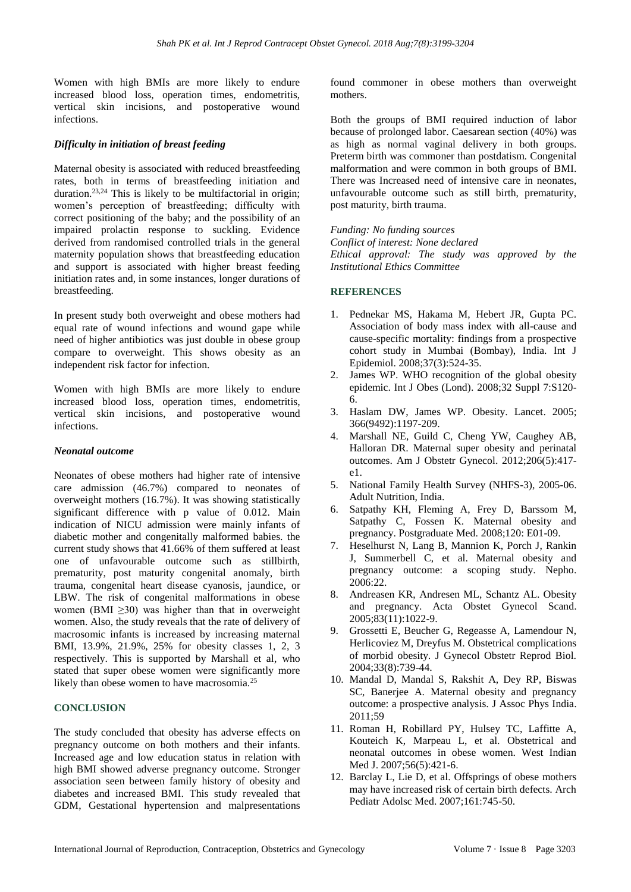Women with high BMIs are more likely to endure increased blood loss, operation times, endometritis, vertical skin incisions, and postoperative wound infections.

#### *Difficulty in initiation of breast feeding*

Maternal obesity is associated with reduced breastfeeding rates, both in terms of breastfeeding initiation and duration.23,24 This is likely to be multifactorial in origin; women's perception of breastfeeding; difficulty with correct positioning of the baby; and the possibility of an impaired prolactin response to suckling. Evidence derived from randomised controlled trials in the general maternity population shows that breastfeeding education and support is associated with higher breast feeding initiation rates and, in some instances, longer durations of breastfeeding.

In present study both overweight and obese mothers had equal rate of wound infections and wound gape while need of higher antibiotics was just double in obese group compare to overweight. This shows obesity as an independent risk factor for infection.

Women with high BMIs are more likely to endure increased blood loss, operation times, endometritis, vertical skin incisions, and postoperative wound infections.

#### *Neonatal outcome*

Neonates of obese mothers had higher rate of intensive care admission (46.7%) compared to neonates of overweight mothers (16.7%). It was showing statistically significant difference with p value of 0.012. Main indication of NICU admission were mainly infants of diabetic mother and congenitally malformed babies. the current study shows that 41.66% of them suffered at least one of unfavourable outcome such as stillbirth, prematurity, post maturity congenital anomaly, birth trauma, congenital heart disease cyanosis, jaundice, or LBW. The risk of congenital malformations in obese women (BMI > 30) was higher than that in overweight women. Also, the study reveals that the rate of delivery of macrosomic infants is increased by increasing maternal BMI, 13.9%, 21.9%, 25% for obesity classes 1, 2, 3 respectively. This is supported by Marshall et al, who stated that super obese women were significantly more likely than obese women to have macrosomia.<sup>25</sup>

## **CONCLUSION**

The study concluded that obesity has adverse effects on pregnancy outcome on both mothers and their infants. Increased age and low education status in relation with high BMI showed adverse pregnancy outcome. Stronger association seen between family history of obesity and diabetes and increased BMI. This study revealed that GDM, Gestational hypertension and malpresentations found commoner in obese mothers than overweight mothers.

Both the groups of BMI required induction of labor because of prolonged labor. Caesarean section (40%) was as high as normal vaginal delivery in both groups. Preterm birth was commoner than postdatism. Congenital malformation and were common in both groups of BMI. There was Increased need of intensive care in neonates, unfavourable outcome such as still birth, prematurity, post maturity, birth trauma.

*Funding: No funding sources*

*Conflict of interest: None declared Ethical approval: The study was approved by the Institutional Ethics Committee*

## **REFERENCES**

- 1. Pednekar MS, Hakama M, Hebert JR, Gupta PC. Association of body mass index with all-cause and cause-specific mortality: findings from a prospective cohort study in Mumbai (Bombay), India. Int J Epidemiol. 2008;37(3):524-35.
- 2. James WP. WHO recognition of the global obesity epidemic. Int J Obes (Lond). 2008;32 Suppl 7:S120- 6.
- 3. Haslam DW, James WP. Obesity. Lancet. 2005; 366(9492):1197-209.
- 4. Marshall NE, Guild C, Cheng YW, Caughey AB, Halloran DR. Maternal super obesity and perinatal outcomes. Am J Obstetr Gynecol. 2012;206(5):417 e1.
- 5. National Family Health Survey (NHFS-3), 2005-06. Adult Nutrition, India.
- 6. Satpathy KH, Fleming A, Frey D, Barssom M, Satpathy C, Fossen K. Maternal obesity and pregnancy. Postgraduate Med. 2008;120: E01-09.
- 7. Heselhurst N, Lang B, Mannion K, Porch J, Rankin J, Summerbell C, et al. Maternal obesity and pregnancy outcome: a scoping study. Nepho. 2006:22.
- 8. Andreasen KR, Andresen ML, Schantz AL. Obesity and pregnancy. Acta Obstet Gynecol Scand. 2005;83(11):1022-9.
- 9. Grossetti E, Beucher G, Regeasse A, Lamendour N, Herlicoviez M, Dreyfus M. Obstetrical complications of morbid obesity. J Gynecol Obstetr Reprod Biol. 2004;33(8):739-44.
- 10. Mandal D, Mandal S, Rakshit A, Dey RP, Biswas SC, Banerjee A. Maternal obesity and pregnancy outcome: a prospective analysis. J Assoc Phys India. 2011;59
- 11. Roman H, Robillard PY, Hulsey TC, Laffitte A, Kouteich K, Marpeau L, et al. Obstetrical and neonatal outcomes in obese women. West Indian Med J. 2007;56(5):421-6.
- 12. Barclay L, Lie D, et al. Offsprings of obese mothers may have increased risk of certain birth defects. Arch Pediatr Adolsc Med. 2007;161:745-50.